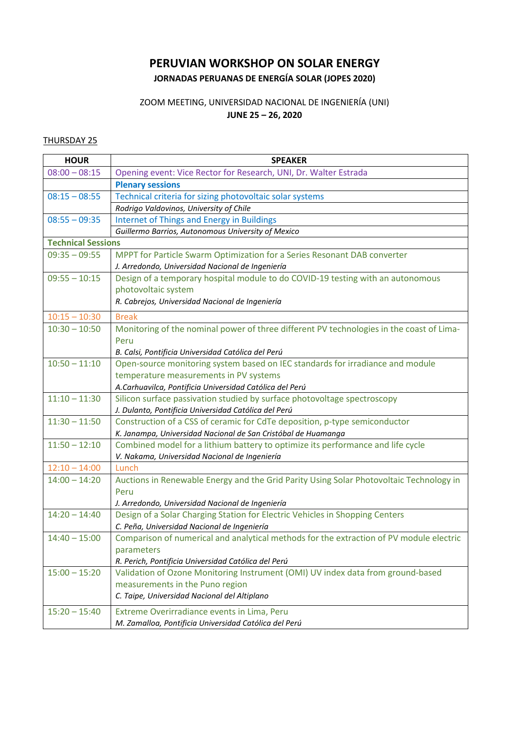## **PERUVIAN WORKSHOP ON SOLAR ENERGY JORNADAS PERUANAS DE ENERGÍA SOLAR (JOPES 2020)**

## ZOOM MEETING, UNIVERSIDAD NACIONAL DE INGENIERÍA (UNI) **JUNE 25 – 26, 2020**

## THURSDAY 25

| <b>HOUR</b>               | <b>SPEAKER</b>                                                                           |
|---------------------------|------------------------------------------------------------------------------------------|
| $08:00 - 08:15$           | Opening event: Vice Rector for Research, UNI, Dr. Walter Estrada                         |
|                           | <b>Plenary sessions</b>                                                                  |
| $08:15 - 08:55$           | Technical criteria for sizing photovoltaic solar systems                                 |
|                           | Rodrigo Valdovinos, University of Chile                                                  |
| $08:55 - 09:35$           | <b>Internet of Things and Energy in Buildings</b>                                        |
|                           | Guillermo Barrios, Autonomous University of Mexico                                       |
| <b>Technical Sessions</b> |                                                                                          |
| $09:35 - 09:55$           | MPPT for Particle Swarm Optimization for a Series Resonant DAB converter                 |
|                           | J. Arredondo, Universidad Nacional de Ingeniería                                         |
| $09:55 - 10:15$           | Design of a temporary hospital module to do COVID-19 testing with an autonomous          |
|                           | photovoltaic system                                                                      |
|                           | R. Cabrejos, Universidad Nacional de Ingeniería                                          |
| $10:15 - 10:30$           | <b>Break</b>                                                                             |
| $10:30 - 10:50$           | Monitoring of the nominal power of three different PV technologies in the coast of Lima- |
|                           | Peru                                                                                     |
|                           | B. Calsi, Pontificia Universidad Católica del Perú                                       |
| $10:50 - 11:10$           | Open-source monitoring system based on IEC standards for irradiance and module           |
|                           | temperature measurements in PV systems                                                   |
|                           | A.Carhuavilca, Pontificia Universidad Católica del Perú                                  |
| $11:10 - 11:30$           | Silicon surface passivation studied by surface photovoltage spectroscopy                 |
|                           | J. Dulanto, Pontificia Universidad Católica del Perú                                     |
| $11:30 - 11:50$           | Construction of a CSS of ceramic for CdTe deposition, p-type semiconductor               |
|                           | K. Janampa, Universidad Nacional de San Cristóbal de Huamanga                            |
| $11:50 - 12:10$           | Combined model for a lithium battery to optimize its performance and life cycle          |
|                           | V. Nakama, Universidad Nacional de Ingeniería                                            |
| $12:10 - 14:00$           | Lunch                                                                                    |
| $14:00 - 14:20$           | Auctions in Renewable Energy and the Grid Parity Using Solar Photovoltaic Technology in  |
|                           | Peru                                                                                     |
|                           | J. Arredondo, Universidad Nacional de Ingeniería                                         |
| $14:20 - 14:40$           | Design of a Solar Charging Station for Electric Vehicles in Shopping Centers             |
|                           | C. Peña, Universidad Nacional de Ingeniería                                              |
| $14:40 - 15:00$           | Comparison of numerical and analytical methods for the extraction of PV module electric  |
|                           | parameters                                                                               |
|                           | R. Perich, Pontificia Universidad Católica del Perú                                      |
| $15:00 - 15:20$           | Validation of Ozone Monitoring Instrument (OMI) UV index data from ground-based          |
|                           | measurements in the Puno region                                                          |
|                           | C. Taipe, Universidad Nacional del Altiplano                                             |
| $15:20 - 15:40$           | Extreme Overirradiance events in Lima, Peru                                              |
|                           | M. Zamalloa, Pontificia Universidad Católica del Perú                                    |